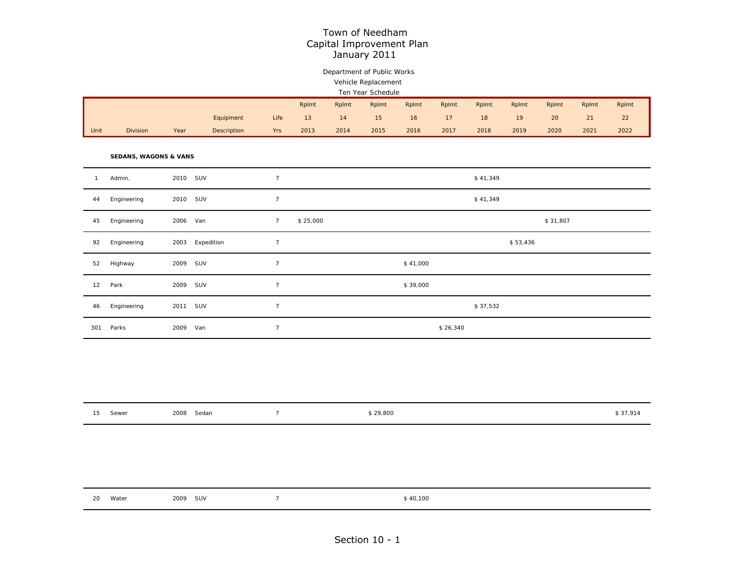## Department of Public Works Vehicle Replacement

|      | Ten Year Schedule                                                                      |      |             |      |      |      |      |      |      |      |      |      |      |      |
|------|----------------------------------------------------------------------------------------|------|-------------|------|------|------|------|------|------|------|------|------|------|------|
|      | Rplmt<br>Rplmt<br>Rplmt<br>Rplmt<br>Rplmt<br>Rplmt<br>Rplmt<br>Rplmt<br>Rplmt<br>Rplmt |      |             |      |      |      |      |      |      |      |      |      |      |      |
|      |                                                                                        |      | Equipment   | Life | 13   | 14   | 15   | 16   | 17   | 18   | 19   | 20   | 21   | 22   |
| Unit | <b>Division</b>                                                                        | Year | Description | Yrs  | 2013 | 2014 | 2015 | 2016 | 2017 | 2018 | 2019 | 2020 | 2021 | 2022 |

**SEDANS, WAGONS & VANS**

| $\mathbf{1}$ | Admin.      | 2010     | SUV        | $\overline{7}$ |          |          | \$41,349 |  |
|--------------|-------------|----------|------------|----------------|----------|----------|----------|--|
| 44           | Engineering | 2010     | SUV        | $\overline{7}$ |          |          | \$41,349 |  |
| 45           | Engineering | 2006 Van |            | $\overline{7}$ | \$25,000 |          | \$31,807 |  |
| 92           | Engineering | 2003     | Expedition | $\overline{7}$ |          |          | \$53,436 |  |
| 52           | Highway     | 2009     | SUV        | $\overline{7}$ |          | \$41,000 |          |  |
| 12           | Park        | 2009 SUV |            | $\overline{7}$ |          | \$39,000 |          |  |
| 46           | Engineering | 2011 SUV |            | $\overline{7}$ |          |          | \$37,532 |  |
| 301          | Parks       | 2009     | Van        | $\overline{7}$ |          | \$26,340 |          |  |

| $\sim$ $-$<br>. | Sewer | Sedan<br>2008 | \$29,800 | \$37,914 |
|-----------------|-------|---------------|----------|----------|
|                 |       |               |          |          |

| 2009 SUV<br>20<br>Water<br>\$40,100 |  |
|-------------------------------------|--|
|-------------------------------------|--|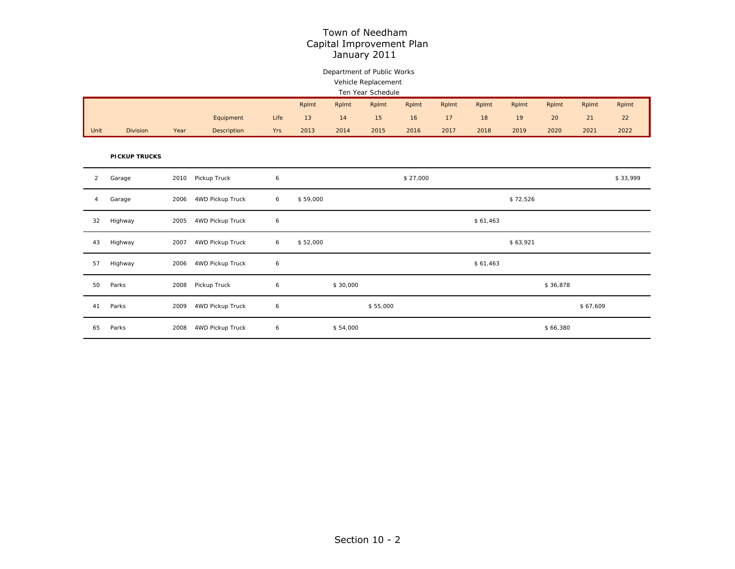## Department of Public Works Vehicle Replacement

|      | Ten Year Schedule                                                                      |      |             |            |                 |      |      |      |                 |      |      |      |      |      |
|------|----------------------------------------------------------------------------------------|------|-------------|------------|-----------------|------|------|------|-----------------|------|------|------|------|------|
|      | Rplmt<br>Rplmt<br>Rplmt<br>Rplmt<br>Rplmt<br>Rplmt<br>Rplmt<br>Rplmt<br>Rplmt<br>Rplmt |      |             |            |                 |      |      |      |                 |      |      |      |      |      |
|      |                                                                                        |      | Equipment   | Life       | 13 <sup>1</sup> | 14   | 15   | 16   | 17 <sup>1</sup> | 18   | 19   | 20   | 21   | 22   |
| Unit | <b>Division</b>                                                                        | Year | Description | <b>Yrs</b> | 2013            | 2014 | 2015 | 2016 | 2017            | 2018 | 2019 | 2020 | 2021 | 2022 |

**PICKUP TRUCKS**

| $\overline{2}$ | Garage  | 2010 | Pickup Truck     | 6 |          | \$27,000 | \$33,999 |
|----------------|---------|------|------------------|---|----------|----------|----------|
| 4              | Garage  | 2006 | 4WD Pickup Truck | 6 | \$59,000 |          | \$72,526 |
| 32             | Highway | 2005 | 4WD Pickup Truck | 6 |          | \$61,463 |          |
| 43             | Highway | 2007 | 4WD Pickup Truck | 6 | \$52,000 |          | \$63,921 |
| 57             | Highway | 2006 | 4WD Pickup Truck | 6 |          | \$61,463 |          |
| 50             | Parks   | 2008 | Pickup Truck     | 6 | \$30,000 |          | \$36,878 |
| 41             | Parks   | 2009 | 4WD Pickup Truck | 6 | \$55,000 |          | \$67,609 |
| 65             | Parks   | 2008 | 4WD Pickup Truck | 6 | \$54,000 |          | \$66,380 |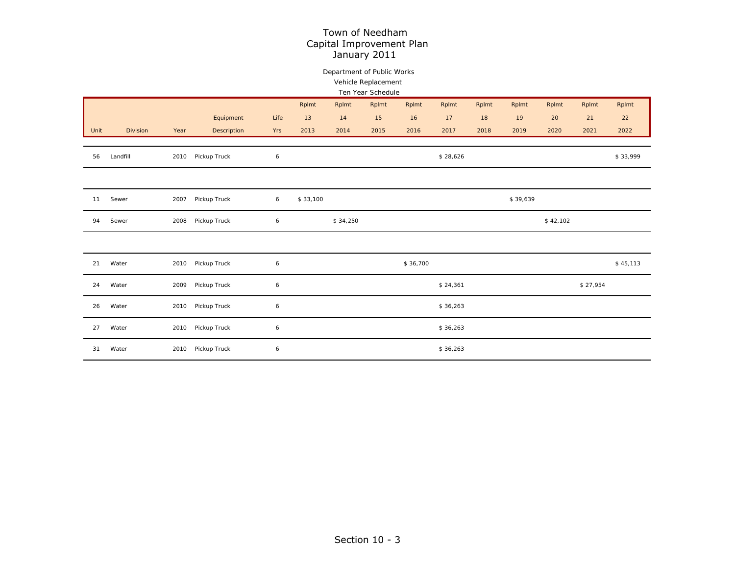## Department of Public Works Vehicle Replacement

|      |          |      |              |            |          |          | Ten Year Schedule |          |          |       |          |          |          |          |
|------|----------|------|--------------|------------|----------|----------|-------------------|----------|----------|-------|----------|----------|----------|----------|
|      |          |      |              |            | Rplmt    | Rplmt    | Rplmt             | Rplmt    | Rplmt    | Rplmt | Rplmt    | Rplmt    | Rplmt    | Rplmt    |
|      |          |      | Equipment    | Life       | 13       | 14       | 15                | 16       | 17       | 18    | 19       | 20       | 21       | 22       |
| Unit | Division | Year | Description  | Yrs        | 2013     | 2014     | 2015              | 2016     | 2017     | 2018  | 2019     | 2020     | 2021     | 2022     |
|      |          |      |              |            |          |          |                   |          |          |       |          |          |          |          |
| 56   | Landfill | 2010 | Pickup Truck | $\epsilon$ |          |          |                   |          | \$28,626 |       |          |          |          | \$33,999 |
|      |          |      |              |            |          |          |                   |          |          |       |          |          |          |          |
|      |          |      |              |            |          |          |                   |          |          |       |          |          |          |          |
| 11   | Sewer    | 2007 | Pickup Truck | 6          | \$33,100 |          |                   |          |          |       | \$39,639 |          |          |          |
|      |          |      |              |            |          |          |                   |          |          |       |          |          |          |          |
| 94   | Sewer    | 2008 | Pickup Truck | $\epsilon$ |          | \$34,250 |                   |          |          |       |          | \$42,102 |          |          |
|      |          |      |              |            |          |          |                   |          |          |       |          |          |          |          |
|      |          |      |              |            |          |          |                   |          |          |       |          |          |          |          |
| 21   | Water    | 2010 | Pickup Truck | 6          |          |          |                   | \$36,700 |          |       |          |          |          | \$45,113 |
|      |          |      |              |            |          |          |                   |          |          |       |          |          |          |          |
| 24   | Water    | 2009 | Pickup Truck | 6          |          |          |                   |          | \$24,361 |       |          |          | \$27,954 |          |
| 26   | Water    | 2010 | Pickup Truck | 6          |          |          |                   |          | \$36,263 |       |          |          |          |          |
|      |          |      |              |            |          |          |                   |          |          |       |          |          |          |          |
| 27   | Water    | 2010 | Pickup Truck | 6          |          |          |                   |          | \$36,263 |       |          |          |          |          |
|      |          |      |              |            |          |          |                   |          |          |       |          |          |          |          |
| 31   | Water    | 2010 | Pickup Truck | 6          |          |          |                   |          | \$36,263 |       |          |          |          |          |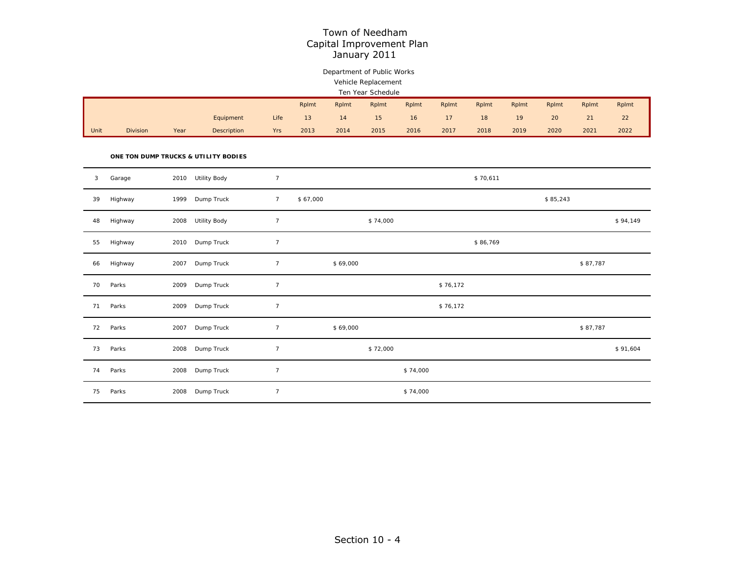## Department of Public Works Vehicle Replacement

|  | Ten Year Schedule |
|--|-------------------|

|      |                 |      |                    |      | Rplmt | Rplmt | Rplmt           | Rplmt | Rplmt | Rplmt | Rplmt | Rplmt | Rplmt | Rplmt |
|------|-----------------|------|--------------------|------|-------|-------|-----------------|-------|-------|-------|-------|-------|-------|-------|
|      |                 |      | Equipment          | Life |       | 14    | 15 <sup>1</sup> | 16    |       | 18    | 19    | 20    | ΖI    | 22    |
| Unit | <b>Division</b> | Year | <b>Description</b> | Yrs  | 2013  | 2014  | 2015            | 2016  | 2017  | 2018  | 2019  | 2020  | 2021  | 2022  |

#### **ONE TON DUMP TRUCKS & UTILITY BODIES**

| 3  | Garage  | 2010 | <b>Utility Body</b> | $\overline{7}$  |          |          |          |          |          | \$70,611 |          |          |          |
|----|---------|------|---------------------|-----------------|----------|----------|----------|----------|----------|----------|----------|----------|----------|
| 39 | Highway | 1999 | Dump Truck          | $7\overline{ }$ | \$67,000 |          |          |          |          |          | \$85,243 |          |          |
| 48 | Highway | 2008 | <b>Utility Body</b> | $\overline{7}$  |          |          | \$74,000 |          |          |          |          |          | \$94,149 |
| 55 | Highway | 2010 | Dump Truck          | $\overline{7}$  |          |          |          |          |          | \$86,769 |          |          |          |
| 66 | Highway | 2007 | Dump Truck          | $7^{\circ}$     |          | \$69,000 |          |          |          |          |          | \$87,787 |          |
| 70 | Parks   | 2009 | Dump Truck          | $\overline{7}$  |          |          |          |          | \$76,172 |          |          |          |          |
| 71 | Parks   | 2009 | Dump Truck          | $\overline{7}$  |          |          |          |          | \$76,172 |          |          |          |          |
| 72 | Parks   | 2007 | Dump Truck          | $\overline{7}$  |          | \$69,000 |          |          |          |          |          | \$87,787 |          |
| 73 | Parks   | 2008 | Dump Truck          | $\overline{7}$  |          |          | \$72,000 |          |          |          |          |          | \$91,604 |
| 74 | Parks   | 2008 | Dump Truck          | $\overline{7}$  |          |          |          | \$74,000 |          |          |          |          |          |
| 75 | Parks   | 2008 | Dump Truck          | $\overline{7}$  |          |          |          | \$74,000 |          |          |          |          |          |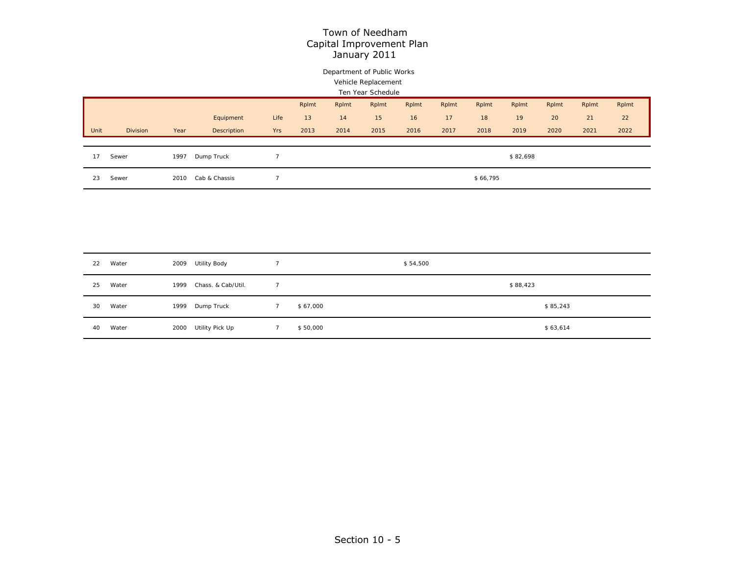## Department of Public Works Vehicle Replacement

| Ten Year Schedule |      |             |                |       |       |       |       |       |          |          |       |       |       |
|-------------------|------|-------------|----------------|-------|-------|-------|-------|-------|----------|----------|-------|-------|-------|
|                   |      |             |                | Rplmt | Rplmt | Rplmt | Rplmt | Rplmt | Rplmt    | Rplmt    | Rplmt | Rplmt | Rplmt |
|                   |      | Equipment   | Life           | 13    | 14    | 15    | 16    | 17    | 18       | 19       | 20    | 21    | 22    |
| <b>Division</b>   | Year | Description | Yrs            | 2013  | 2014  | 2015  | 2016  | 2017  | 2018     | 2019     | 2020  | 2021  | 2022  |
|                   |      |             |                |       |       |       |       |       |          |          |       |       |       |
| Sewer             | 1997 | Dump Truck  | $\overline{7}$ |       |       |       |       |       |          | \$82,698 |       |       |       |
| Sewer             | 2010 |             | $\overline{ }$ |       |       |       |       |       | \$66,795 |          |       |       |       |
|                   |      |             | Cab & Chassis  |       |       |       |       |       |          |          |       |       |       |

| 22 | Water | 2009 | Utility Body       |          | \$54,500 |          |  |
|----|-------|------|--------------------|----------|----------|----------|--|
| 25 | Water | 1999 | Chass, & Cab/Util. |          |          | \$88,423 |  |
| 30 | Water | 1999 | Dump Truck         | \$67,000 |          | \$85,243 |  |
| 40 | Water | 2000 | Utility Pick Up    | \$50,000 |          | \$63,614 |  |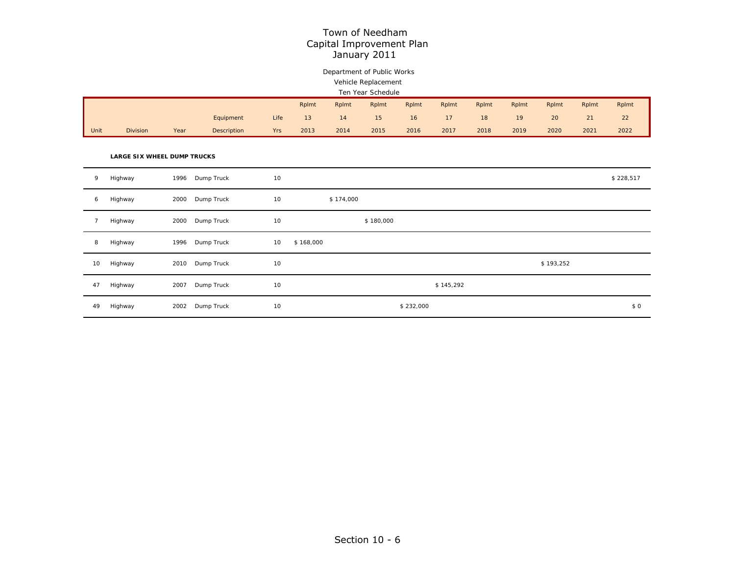## Department of Public Works Vehicle Replacement

#### Ten Year Schedule

|      |                 |      |             |            | Rplmt | Rplmt | Rplmt | Rplmt | Rplmt | Rplmt | Rplmt | Rplmt | Rplmt | Rplmt |
|------|-----------------|------|-------------|------------|-------|-------|-------|-------|-------|-------|-------|-------|-------|-------|
|      |                 |      | Equipment   | Life       |       |       |       | 16    |       | 18    | 19    | 20    | 21    | 22    |
| Unit | <b>Division</b> | Year | Description | <b>Yrs</b> | 2013  | 2014  | 2015  | 2016  | 2017  | 2018  | 2019  | 2020  | 2021  | 2022  |

#### **LARGE SIX WHEEL DUMP TRUCKS**

| 9  | Highway | 1996 | Dump Truck | 10 |           |           |           |           | \$228,517 |
|----|---------|------|------------|----|-----------|-----------|-----------|-----------|-----------|
| 6  | Highway | 2000 | Dump Truck | 10 |           | \$174,000 |           |           |           |
|    | Highway | 2000 | Dump Truck | 10 |           | \$180,000 |           |           |           |
| 8  | Highway | 1996 | Dump Truck | 10 | \$168,000 |           |           |           |           |
| 10 | Highway | 2010 | Dump Truck | 10 |           |           |           | \$193,252 |           |
| 47 | Highway | 2007 | Dump Truck | 10 |           |           | \$145,292 |           |           |
| 49 | Highway | 2002 | Dump Truck | 10 |           | \$232,000 |           |           | \$0       |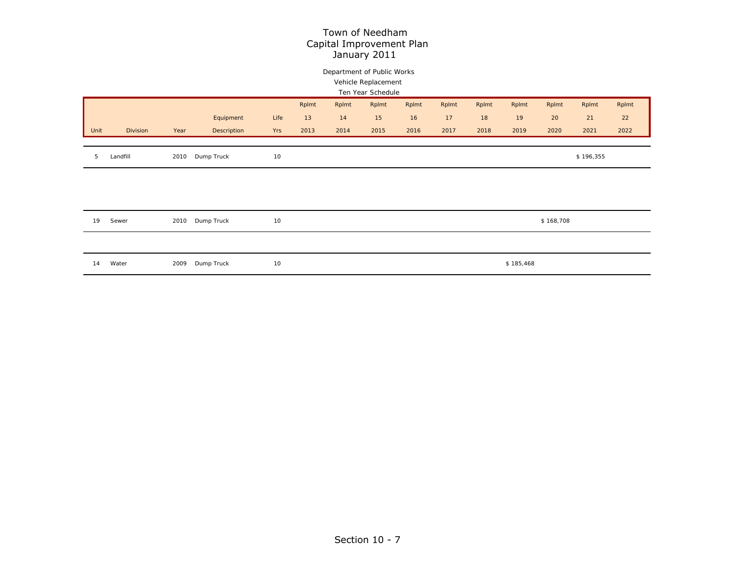## Department of Public Works Vehicle Replacement

|      |          |      |             |      |       |       | Ten Year Schedule |       |       |       |           |           |           |       |
|------|----------|------|-------------|------|-------|-------|-------------------|-------|-------|-------|-----------|-----------|-----------|-------|
|      |          |      |             |      | Rplmt | Rplmt | Rplmt             | Rplmt | Rplmt | Rplmt | Rplmt     | Rplmt     | Rplmt     | Rplmt |
|      |          |      | Equipment   | Life | 13    | 14    | 15                | 16    | 17    | 18    | 19        | 20        | 21        | 22    |
| Unit | Division | Year | Description | Yrs  | 2013  | 2014  | 2015              | 2016  | 2017  | 2018  | 2019      | 2020      | 2021      | 2022  |
|      |          |      |             |      |       |       |                   |       |       |       |           |           |           |       |
| 5    | Landfill | 2010 | Dump Truck  | 10   |       |       |                   |       |       |       |           |           | \$196,355 |       |
|      |          |      |             |      |       |       |                   |       |       |       |           |           |           |       |
|      |          |      |             |      |       |       |                   |       |       |       |           |           |           |       |
|      |          |      |             |      |       |       |                   |       |       |       |           |           |           |       |
|      |          |      |             |      |       |       |                   |       |       |       |           |           |           |       |
| 19   | Sewer    | 2010 | Dump Truck  | 10   |       |       |                   |       |       |       |           | \$168,708 |           |       |
|      |          |      |             |      |       |       |                   |       |       |       |           |           |           |       |
|      |          |      |             |      |       |       |                   |       |       |       |           |           |           |       |
| 14   | Water    | 2009 | Dump Truck  | 10   |       |       |                   |       |       |       | \$185,468 |           |           |       |